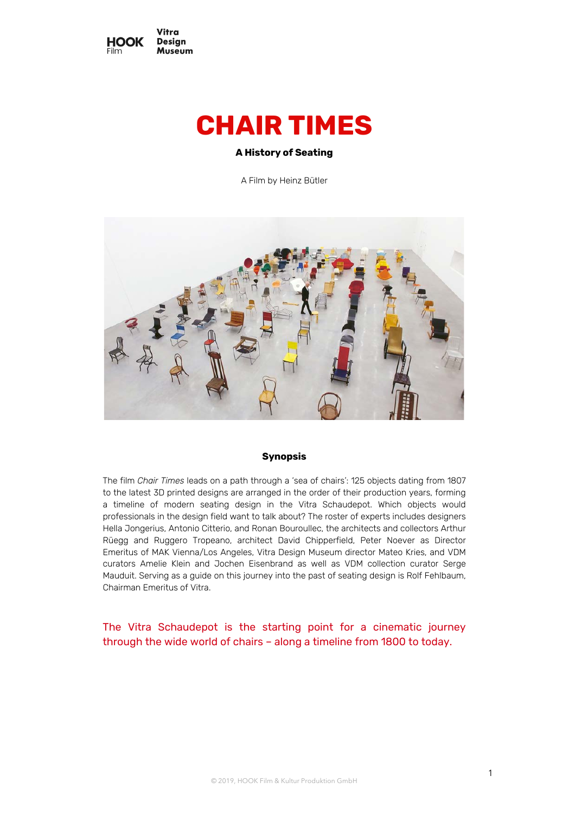

# **CHAIR TIMES**

# **A History of Seating**

A Film by Heinz Bütler



## **Synopsis**

The film *Chair Times* leads on a path through a 'sea of chairs': 125 objects dating from 1807 to the latest 3D printed designs are arranged in the order of their production years, forming a timeline of modern seating design in the Vitra Schaudepot. Which objects would professionals in the design field want to talk about? The roster of experts includes designers Hella Jongerius, Antonio Citterio, and Ronan Bouroullec, the architects and collectors Arthur Rüegg and Ruggero Tropeano, architect David Chipperfield, Peter Noever as Director Emeritus of MAK Vienna/Los Angeles, Vitra Design Museum director Mateo Kries, and VDM curators Amelie Klein and Jochen Eisenbrand as well as VDM collection curator Serge Mauduit. Serving as a guide on this journey into the past of seating design is Rolf Fehlbaum, Chairman Emeritus of Vitra.

The Vitra Schaudepot is the starting point for a cinematic journey through the wide world of chairs – along a timeline from 1800 to today.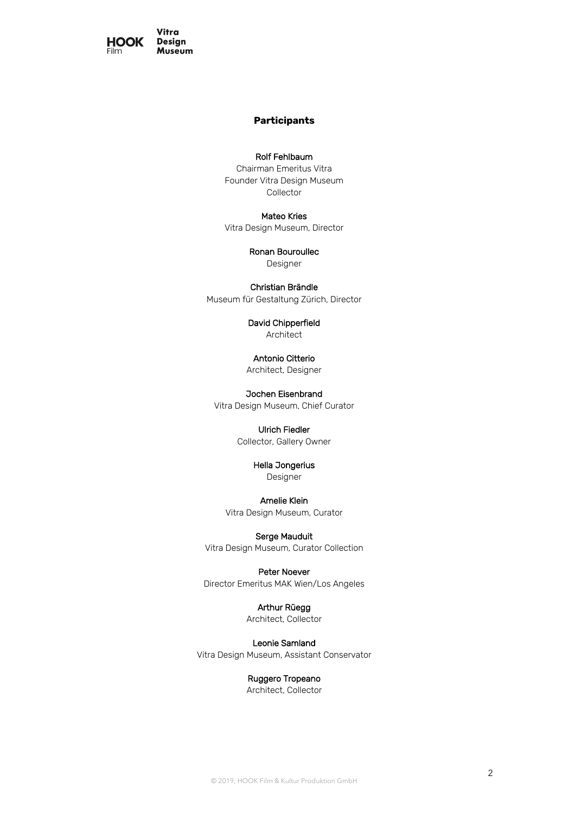

# **Participants**

# Rolf Fehlbaum

Chairman Emeritus Vitra Founder Vitra Design Museum Collector

## Mateo Kries

Vitra Design Museum, Director

# Ronan Bouroullec

Designer

## Christian Brändle

Museum für Gestaltung Zürich, Director

## David Chipperfield Architect

Antonio Citterio Architect, Designer

Jochen Eisenbrand Vitra Design Museum, Chief Curator

# Ulrich Fiedler Collector, Gallery Owner

Hella Jongerius

Designer

# Amelie Klein

Vitra Design Museum, Curator

#### Serge Mauduit

Vitra Design Museum, Curator Collection

## Peter Noever

Director Emeritus MAK Wien/Los Angeles

## Arthur Rüegg

Architect, Collector

# Leonie Samland

Vitra Design Museum, Assistant Conservator

# Ruggero Tropeano

Architect, Collector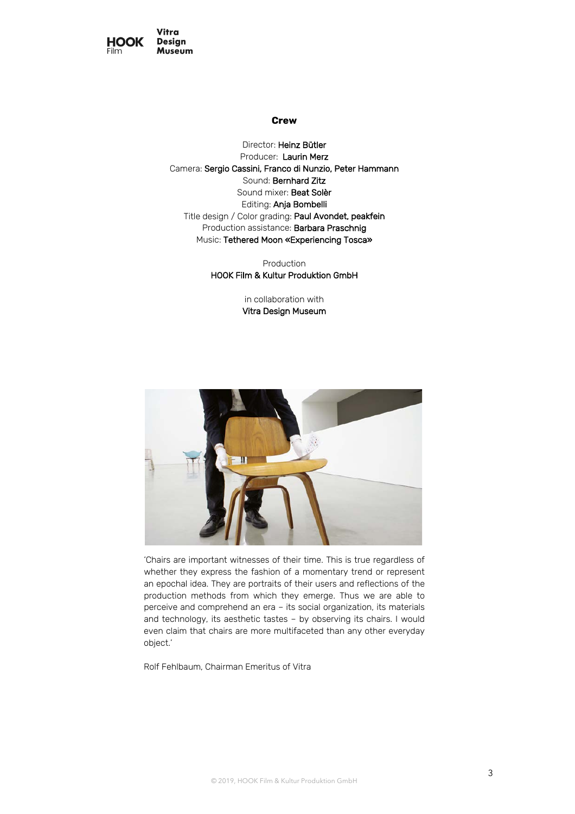

### **Crew**

Director: Heinz Bütler Producer: Laurin Merz Camera: Sergio Cassini, Franco di Nunzio, Peter Hammann Sound: Bernhard Zitz Sound mixer: Beat Solèr Editing: Anja Bombelli Title design / Color grading: Paul Avondet, peakfein Production assistance: Barbara Praschnig Music: Tethered Moon «Experiencing Tosca»

> Production HOOK Film & Kultur Produktion GmbH

> > in collaboration with Vitra Design Museum



'Chairs are important witnesses of their time. This is true regardless of whether they express the fashion of a momentary trend or represent an epochal idea. They are portraits of their users and reflections of the production methods from which they emerge. Thus we are able to perceive and comprehend an era – its social organization, its materials and technology, its aesthetic tastes – by observing its chairs. I would even claim that chairs are more multifaceted than any other everyday object.'

Rolf Fehlbaum, Chairman Emeritus of Vitra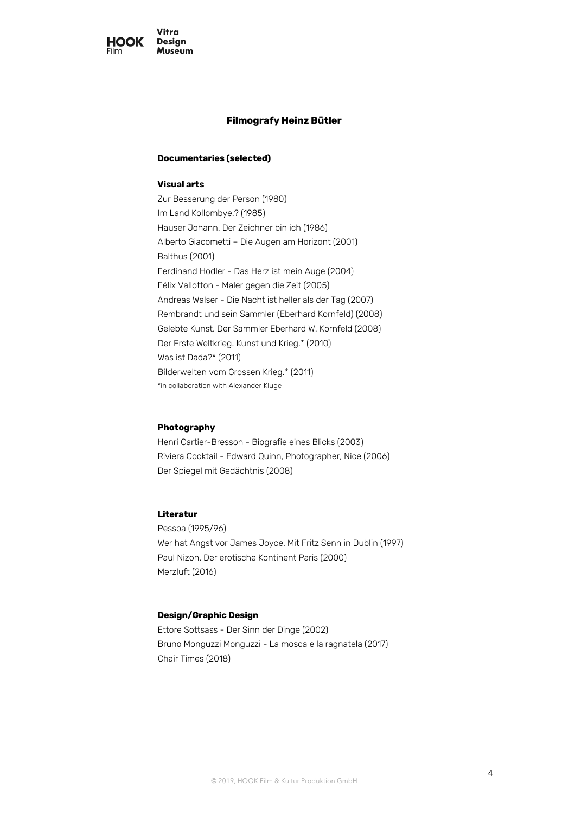

# **Filmografy Heinz Bütler**

## **Documentaries (selected)**

## **Visual arts**

Zur Besserung der Person (1980) Im Land Kollombye.? (1985) Hauser Johann. Der Zeichner bin ich (1986) Alberto Giacometti – Die Augen am Horizont (2001) Balthus (2001) Ferdinand Hodler - Das Herz ist mein Auge (2004) Félix Vallotton - Maler gegen die Zeit (2005) Andreas Walser - Die Nacht ist heller als der Tag (2007) Rembrandt und sein Sammler (Eberhard Kornfeld) (2008) Gelebte Kunst. Der Sammler Eberhard W. Kornfeld (2008) Der Erste Weltkrieg. Kunst und Krieg.\* (2010) Was ist Dada?\* (2011) Bilderwelten vom Grossen Krieg.\* (2011) \*in collaboration with Alexander Kluge

# **Photography**

Henri Cartier-Bresson - Biografie eines Blicks (2003) Riviera Cocktail - Edward Quinn, Photographer, Nice (2006) Der Spiegel mit Gedächtnis (2008)

# **Literatur**

Pessoa (1995/96) Wer hat Angst vor James Joyce. Mit Fritz Senn in Dublin (1997) Paul Nizon. Der erotische Kontinent Paris (2000) Merzluft (2016)

### **Design/Graphic Design**

Ettore Sottsass - Der Sinn der Dinge (2002) Bruno Monguzzi Monguzzi - La mosca e la ragnatela (2017) Chair Times (2018)